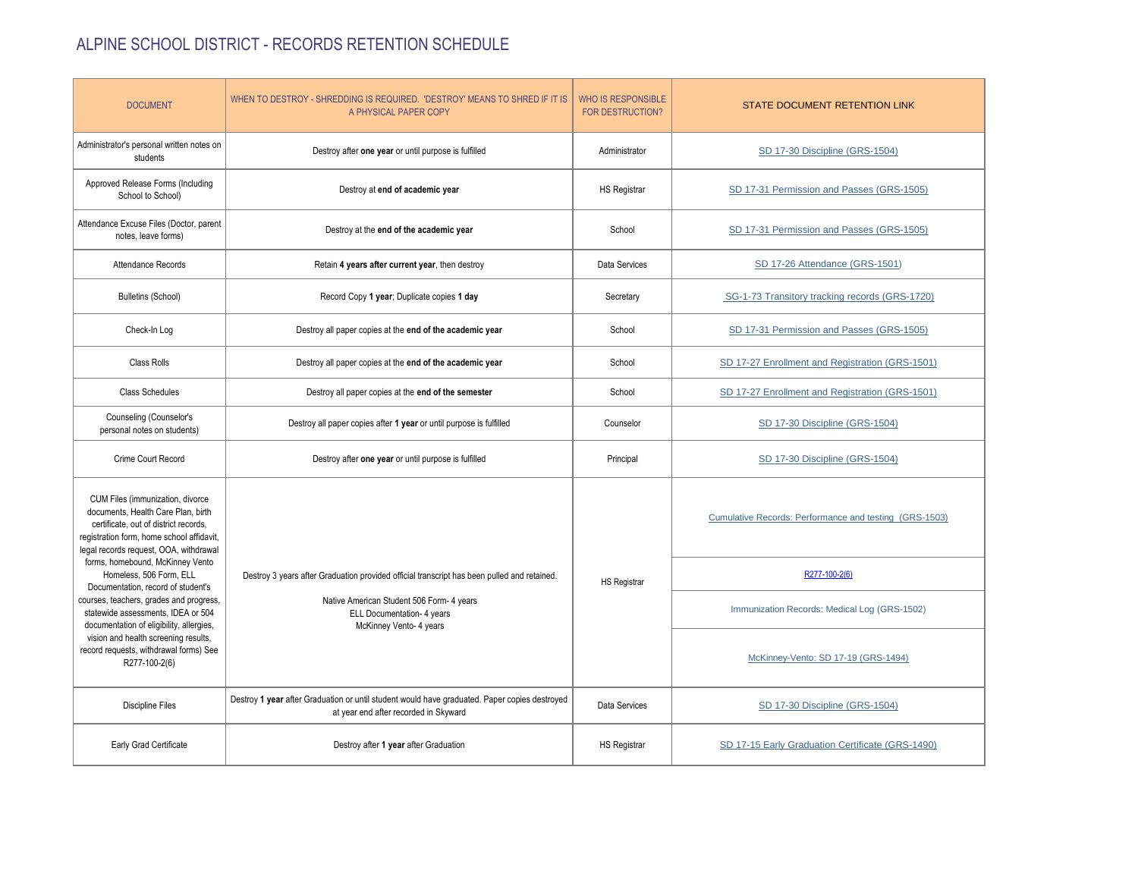## ALPINE SCHOOL DISTRICT - RECORDS RETENTION SCHEDULE

| <b>DOCUMENT</b>                                                                                                                                                                                                                                                                                                                                                                                                                          | WHEN TO DESTROY - SHREDDING IS REQUIRED. 'DESTROY' MEANS TO SHRED IF IT IS<br>A PHYSICAL PAPER COPY                                                                                               | <b>WHO IS RESPONSIBLE</b><br><b>FOR DESTRUCTION?</b> | STATE DOCUMENT RETENTION LINK                          |
|------------------------------------------------------------------------------------------------------------------------------------------------------------------------------------------------------------------------------------------------------------------------------------------------------------------------------------------------------------------------------------------------------------------------------------------|---------------------------------------------------------------------------------------------------------------------------------------------------------------------------------------------------|------------------------------------------------------|--------------------------------------------------------|
| Administrator's personal written notes on<br>students                                                                                                                                                                                                                                                                                                                                                                                    | Destroy after one year or until purpose is fulfilled                                                                                                                                              | Administrator                                        | SD 17-30 Discipline (GRS-1504)                         |
| Approved Release Forms (Including<br>School to School)                                                                                                                                                                                                                                                                                                                                                                                   | Destroy at end of academic year                                                                                                                                                                   | <b>HS Registrar</b>                                  | SD 17-31 Permission and Passes (GRS-1505)              |
| Attendance Excuse Files (Doctor, parent<br>notes, leave forms)                                                                                                                                                                                                                                                                                                                                                                           | Destroy at the end of the academic year                                                                                                                                                           | School                                               | SD 17-31 Permission and Passes (GRS-1505)              |
| Attendance Records                                                                                                                                                                                                                                                                                                                                                                                                                       | Retain 4 years after current year, then destroy                                                                                                                                                   | Data Services                                        | SD 17-26 Attendance (GRS-1501)                         |
| <b>Bulletins (School)</b>                                                                                                                                                                                                                                                                                                                                                                                                                | Record Copy 1 year; Duplicate copies 1 day                                                                                                                                                        | Secretary                                            | SG-1-73 Transitory tracking records (GRS-1720)         |
| Check-In Log                                                                                                                                                                                                                                                                                                                                                                                                                             | Destroy all paper copies at the end of the academic year                                                                                                                                          | School                                               | SD 17-31 Permission and Passes (GRS-1505)              |
| <b>Class Rolls</b>                                                                                                                                                                                                                                                                                                                                                                                                                       | Destroy all paper copies at the end of the academic year                                                                                                                                          | School                                               | SD 17-27 Enrollment and Registration (GRS-1501)        |
| <b>Class Schedules</b>                                                                                                                                                                                                                                                                                                                                                                                                                   | Destroy all paper copies at the end of the semester                                                                                                                                               | School                                               | SD 17-27 Enrollment and Registration (GRS-1501)        |
| Counseling (Counselor's<br>personal notes on students)                                                                                                                                                                                                                                                                                                                                                                                   | Destroy all paper copies after 1 year or until purpose is fulfilled                                                                                                                               | Counselor                                            | SD 17-30 Discipline (GRS-1504)                         |
| Crime Court Record                                                                                                                                                                                                                                                                                                                                                                                                                       | Destroy after one year or until purpose is fulfilled                                                                                                                                              | Principal                                            | SD 17-30 Discipline (GRS-1504)                         |
| CUM Files (immunization, divorce<br>documents, Health Care Plan, birth<br>certificate, out of district records,<br>registration form, home school affidavit,<br>legal records request, OOA, withdrawal<br>forms, homebound, McKinney Vento<br>Homeless, 506 Form, ELL<br>Documentation, record of student's<br>courses, teachers, grades and progress,<br>statewide assessments, IDEA or 504<br>documentation of eligibility, allergies, | Destroy 3 years after Graduation provided official transcript has been pulled and retained.<br>Native American Student 506 Form- 4 years<br>ELL Documentation- 4 years<br>McKinney Vento- 4 years | <b>HS Registrar</b>                                  | Cumulative Records: Performance and testing (GRS-1503) |
|                                                                                                                                                                                                                                                                                                                                                                                                                                          |                                                                                                                                                                                                   |                                                      | R277-100-2(6)                                          |
|                                                                                                                                                                                                                                                                                                                                                                                                                                          |                                                                                                                                                                                                   |                                                      | Immunization Records: Medical Log (GRS-1502)           |
| vision and health screening results,<br>record requests, withdrawal forms) See<br>R277-100-2(6)                                                                                                                                                                                                                                                                                                                                          |                                                                                                                                                                                                   |                                                      | McKinney-Vento: SD 17-19 (GRS-1494)                    |
| <b>Discipline Files</b>                                                                                                                                                                                                                                                                                                                                                                                                                  | Destroy 1 year after Graduation or until student would have graduated. Paper copies destroyed<br>at year end after recorded in Skyward                                                            | Data Services                                        | SD 17-30 Discipline (GRS-1504)                         |
| Early Grad Certificate                                                                                                                                                                                                                                                                                                                                                                                                                   | Destroy after 1 year after Graduation                                                                                                                                                             | <b>HS Registrar</b>                                  | SD 17-15 Early Graduation Certificate (GRS-1490)       |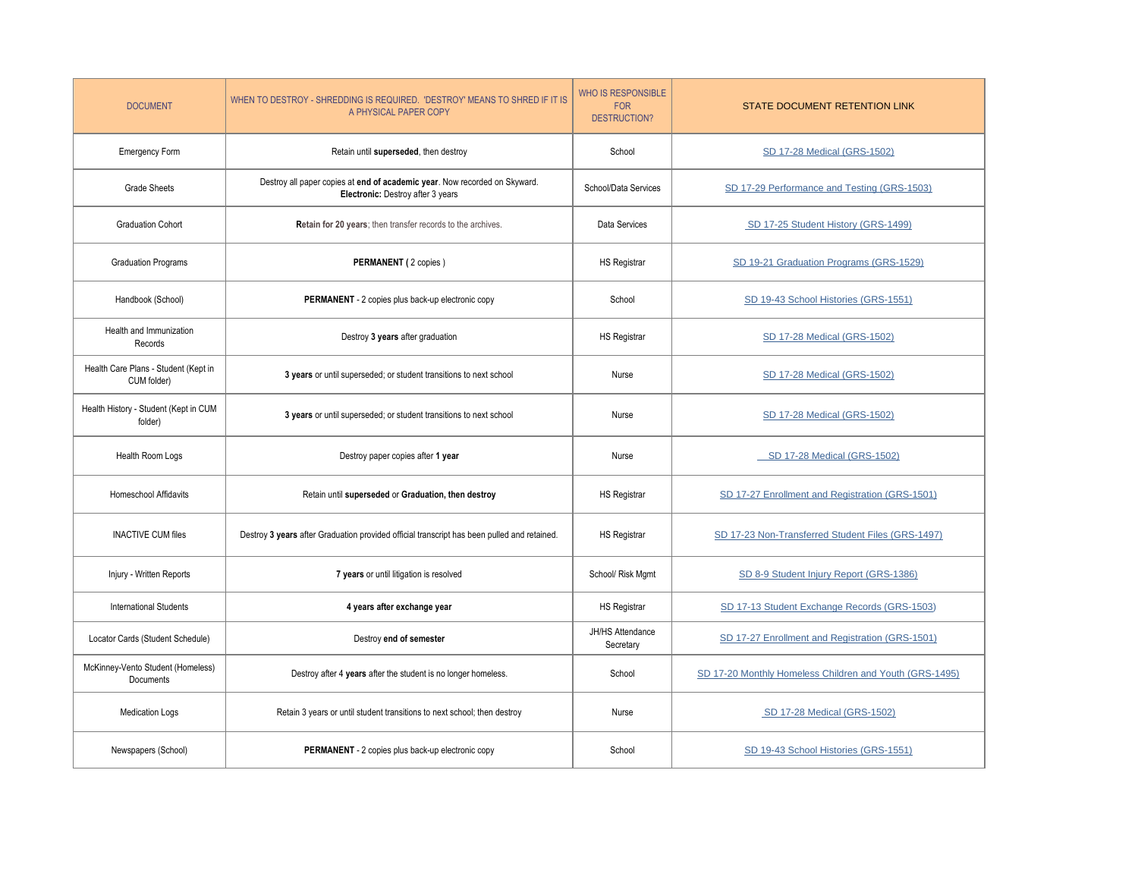| <b>DOCUMENT</b>                                     | WHEN TO DESTROY - SHREDDING IS REQUIRED. 'DESTROY' MEANS TO SHRED IF IT IS<br>A PHYSICAL PAPER COPY             | <b>WHO IS RESPONSIBLE</b><br><b>FOR</b><br><b>DESTRUCTION?</b> | STATE DOCUMENT RETENTION LINK                           |
|-----------------------------------------------------|-----------------------------------------------------------------------------------------------------------------|----------------------------------------------------------------|---------------------------------------------------------|
| Emergency Form                                      | Retain until superseded, then destroy                                                                           | School                                                         | SD 17-28 Medical (GRS-1502)                             |
| <b>Grade Sheets</b>                                 | Destroy all paper copies at end of academic year. Now recorded on Skyward.<br>Electronic: Destroy after 3 years | School/Data Services                                           | SD 17-29 Performance and Testing (GRS-1503)             |
| <b>Graduation Cohort</b>                            | Retain for 20 years; then transfer records to the archives.                                                     | Data Services                                                  | SD 17-25 Student History (GRS-1499)                     |
| <b>Graduation Programs</b>                          | PERMANENT (2 copies)                                                                                            | <b>HS Registrar</b>                                            | SD 19-21 Graduation Programs (GRS-1529)                 |
| Handbook (School)                                   | PERMANENT - 2 copies plus back-up electronic copy                                                               | School                                                         | SD 19-43 School Histories (GRS-1551)                    |
| Health and Immunization<br>Records                  | Destroy 3 years after graduation                                                                                | HS Registrar                                                   | SD 17-28 Medical (GRS-1502)                             |
| Health Care Plans - Student (Kept in<br>CUM folder) | 3 years or until superseded; or student transitions to next school                                              | Nurse                                                          | SD 17-28 Medical (GRS-1502)                             |
| Health History - Student (Kept in CUM<br>folder)    | 3 years or until superseded; or student transitions to next school                                              | Nurse                                                          | SD 17-28 Medical (GRS-1502)                             |
| Health Room Logs                                    | Destroy paper copies after 1 year                                                                               | Nurse                                                          | SD 17-28 Medical (GRS-1502)                             |
| <b>Homeschool Affidavits</b>                        | Retain until superseded or Graduation, then destroy                                                             | <b>HS Registrar</b>                                            | SD 17-27 Enrollment and Registration (GRS-1501)         |
| <b>INACTIVE CUM files</b>                           | Destroy 3 years after Graduation provided official transcript has been pulled and retained.                     | <b>HS Registrar</b>                                            | SD 17-23 Non-Transferred Student Files (GRS-1497)       |
| Injury - Written Reports                            | 7 years or until litigation is resolved                                                                         | School/ Risk Mgmt                                              | SD 8-9 Student Injury Report (GRS-1386)                 |
| <b>International Students</b>                       | 4 years after exchange year                                                                                     | <b>HS Registrar</b>                                            | SD 17-13 Student Exchange Records (GRS-1503)            |
| Locator Cards (Student Schedule)                    | Destroy end of semester                                                                                         | JH/HS Attendance<br>Secretary                                  | SD 17-27 Enrollment and Registration (GRS-1501)         |
| McKinney-Vento Student (Homeless)<br>Documents      | Destroy after 4 years after the student is no longer homeless.                                                  | School                                                         | SD 17-20 Monthly Homeless Children and Youth (GRS-1495) |
| <b>Medication Logs</b>                              | Retain 3 years or until student transitions to next school; then destroy                                        | Nurse                                                          | SD 17-28 Medical (GRS-1502)                             |
| Newspapers (School)                                 | PERMANENT - 2 copies plus back-up electronic copy                                                               | School                                                         | SD 19-43 School Histories (GRS-1551)                    |